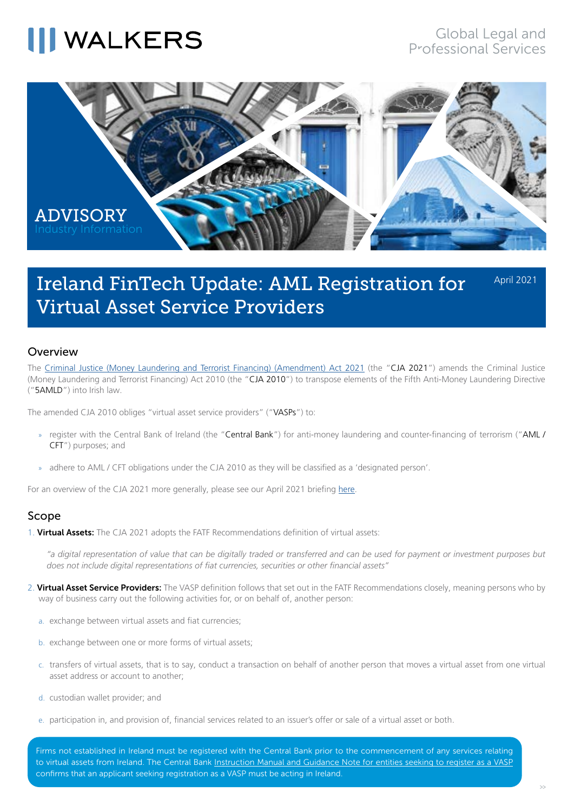### **III WALKERS**



### Ireland FinTech Update: AML Registration for Virtual Asset Service Providers

April 2021

### Overview

The [Criminal Justice \(Money Laundering and Terrorist Financing\) \(Amendment\) Act 2021](https://data.oireachtas.ie/ie/oireachtas/act/2021/3/eng/enacted/a0321.pdf) (the "CJA 2021") amends the Criminal Justice (Money Laundering and Terrorist Financing) Act 2010 (the "CJA 2010") to transpose elements of the Fifth Anti-Money Laundering Directive ("5AMLD") into Irish law.

The amended CJA 2010 obliges "virtual asset service providers" ("VASPs") to:

- » register with the Central Bank of Ireland (the "Central Bank") for anti-money laundering and counter-financing of terrorism ("AML / CFT") purposes; and
- » adhere to AML / CFT obligations under the CJA 2010 as they will be classified as a 'designated person'.

For an overview of the CJA 2021 more generally, please see our April 2021 briefing [here.](https://www.walkersglobal.com/images/Publications/Advisory/2021/Ireland/Criminal_Justice_Money_Laundering_and_Terrorist_Financing_Amendment_Act_2021.pdf)

### Scope

1. Virtual Assets: The CJA 2021 adopts the FATF Recommendations definition of virtual assets:

*"a digital representation of value that can be digitally traded or transferred and can be used for payment or investment purposes but does not include digital representations of fiat currencies, securities or other financial assets"*

- 2. Virtual Asset Service Providers: The VASP definition follows that set out in the FATF Recommendations closely, meaning persons who by way of business carry out the following activities for, or on behalf of, another person:
	- a. exchange between virtual assets and fiat currencies;
	- b. exchange between one or more forms of virtual assets;
	- c. transfers of virtual assets, that is to say, conduct a transaction on behalf of another person that moves a virtual asset from one virtual asset address or account to another;
	- d. custodian wallet provider; and
	- e. participation in, and provision of, financial services related to an issuer's offer or sale of a virtual asset or both.

Firms not established in Ireland must be registered with the Central Bank prior to the commencement of any services relating to virtual assets from Ireland. The Central Bank [Instruction Manual and Guidance Note for entities seeking to register as a VASP](https://www.centralbank.ie/regulation/anti-money-laundering-and-countering-the-financing-of-terrorism/virtual-asset-service-providers/vasp-registration-information) confirms that an applicant seeking registration as a VASP must be acting in Ireland.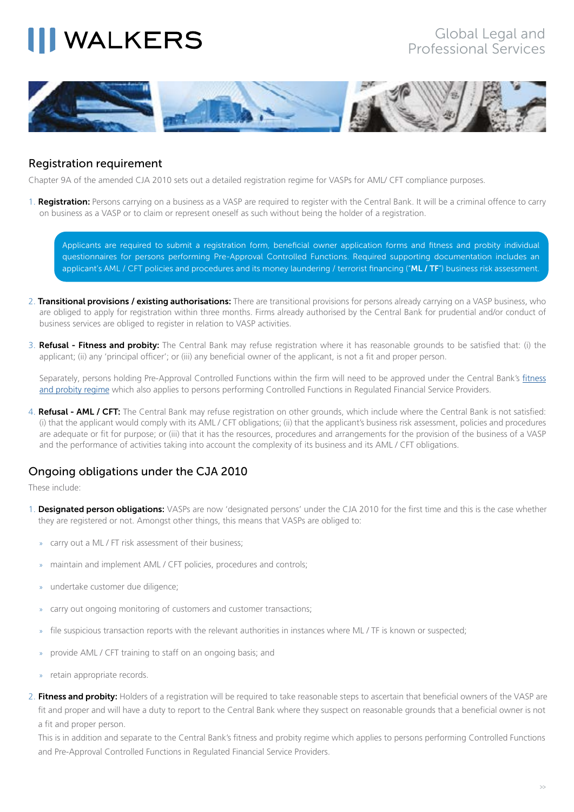# **NALKERS**



### Registration requirement

Chapter 9A of the amended CJA 2010 sets out a detailed registration regime for VASPs for AML/ CFT compliance purposes.

1. Registration: Persons carrying on a business as a VASP are required to register with the Central Bank. It will be a criminal offence to carry on business as a VASP or to claim or represent oneself as such without being the holder of a registration.

Applicants are required to submit a registration form, beneficial owner application forms and fitness and probity individual questionnaires for persons performing Pre-Approval Controlled Functions. Required supporting documentation includes an applicant's AML / CFT policies and procedures and its money laundering / terrorist financing ("ML / TF") business risk assessment.

- 2. Transitional provisions / existing authorisations: There are transitional provisions for persons already carrying on a VASP business, who are obliged to apply for registration within three months. Firms already authorised by the Central Bank for prudential and/or conduct of business services are obliged to register in relation to VASP activities.
- 3. Refusal Fitness and probity: The Central Bank may refuse registration where it has reasonable grounds to be satisfied that: (i) the applicant; (ii) any 'principal officer'; or (iii) any beneficial owner of the applicant, is not a fit and proper person.

Separately, persons holding Pre-Approval Controlled Functions within the firm will need to be approved under the Central Bank's [fitness](https://www.centralbank.ie/regulation/how-we-regulate/fitness-probity) [and probity regime](https://www.centralbank.ie/regulation/how-we-regulate/fitness-probity) which also applies to persons performing Controlled Functions in Regulated Financial Service Providers.

4. Refusal - AML / CFT: The Central Bank may refuse registration on other grounds, which include where the Central Bank is not satisfied: (i) that the applicant would comply with its AML / CFT obligations; (ii) that the applicant's business risk assessment, policies and procedures are adequate or fit for purpose; or (iii) that it has the resources, procedures and arrangements for the provision of the business of a VASP and the performance of activities taking into account the complexity of its business and its AML / CFT obligations.

### Ongoing obligations under the CJA 2010

These include:

- 1. Designated person obligations: VASPs are now 'designated persons' under the CJA 2010 for the first time and this is the case whether they are registered or not. Amongst other things, this means that VASPs are obliged to:
	- carry out a ML / FT risk assessment of their business;
	- maintain and implement AML / CFT policies, procedures and controls;
	- » undertake customer due diligence;
	- carry out ongoing monitoring of customers and customer transactions;
	- file suspicious transaction reports with the relevant authorities in instances where ML / TF is known or suspected;
	- provide AML / CFT training to staff on an ongoing basis; and
	- » retain appropriate records.
- 2. Fitness and probity: Holders of a registration will be required to take reasonable steps to ascertain that beneficial owners of the VASP are fit and proper and will have a duty to report to the Central Bank where they suspect on reasonable grounds that a beneficial owner is not a fit and proper person.

This is in addition and separate to the Central Bank's fitness and probity regime which applies to persons performing Controlled Functions and Pre-Approval Controlled Functions in Regulated Financial Service Providers.